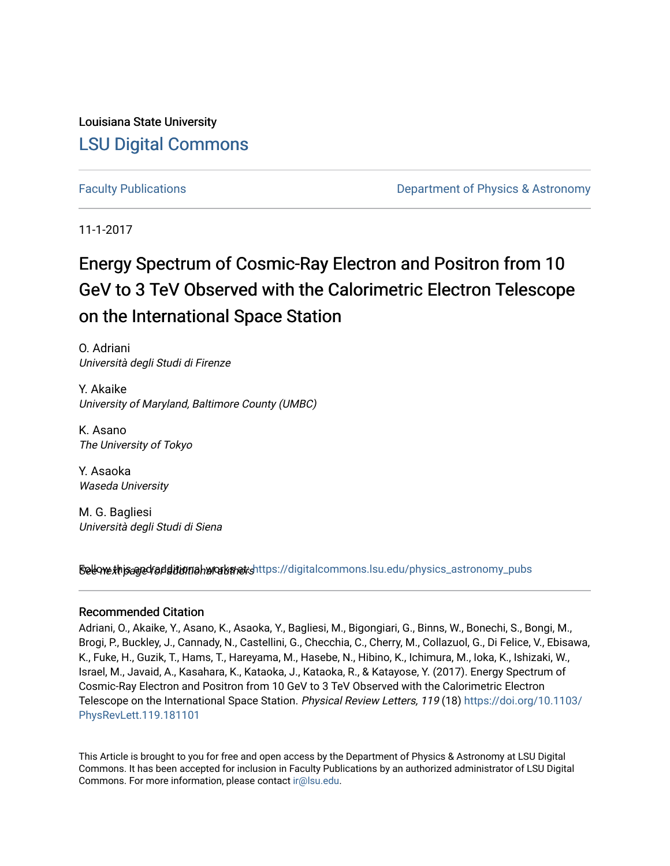Louisiana State University [LSU Digital Commons](https://digitalcommons.lsu.edu/)

[Faculty Publications](https://digitalcommons.lsu.edu/physics_astronomy_pubs) **Example 2** Constant Department of Physics & Astronomy

11-1-2017

# Energy Spectrum of Cosmic-Ray Electron and Positron from 10 GeV to 3 TeV Observed with the Calorimetric Electron Telescope on the International Space Station

O. Adriani Università degli Studi di Firenze

Y. Akaike University of Maryland, Baltimore County (UMBC)

K. Asano The University of Tokyo

Y. Asaoka Waseda University

M. G. Bagliesi Università degli Studi di Siena

Sellow this age for ditional works and the still digital commons.lsu.edu/physics\_astronomy\_pubs

## Recommended Citation

Adriani, O., Akaike, Y., Asano, K., Asaoka, Y., Bagliesi, M., Bigongiari, G., Binns, W., Bonechi, S., Bongi, M., Brogi, P., Buckley, J., Cannady, N., Castellini, G., Checchia, C., Cherry, M., Collazuol, G., Di Felice, V., Ebisawa, K., Fuke, H., Guzik, T., Hams, T., Hareyama, M., Hasebe, N., Hibino, K., Ichimura, M., Ioka, K., Ishizaki, W., Israel, M., Javaid, A., Kasahara, K., Kataoka, J., Kataoka, R., & Katayose, Y. (2017). Energy Spectrum of Cosmic-Ray Electron and Positron from 10 GeV to 3 TeV Observed with the Calorimetric Electron Telescope on the International Space Station. Physical Review Letters, 119 (18) [https://doi.org/10.1103/](https://doi.org/10.1103/PhysRevLett.119.181101) [PhysRevLett.119.181101](https://doi.org/10.1103/PhysRevLett.119.181101) 

This Article is brought to you for free and open access by the Department of Physics & Astronomy at LSU Digital Commons. It has been accepted for inclusion in Faculty Publications by an authorized administrator of LSU Digital Commons. For more information, please contact [ir@lsu.edu](mailto:ir@lsu.edu).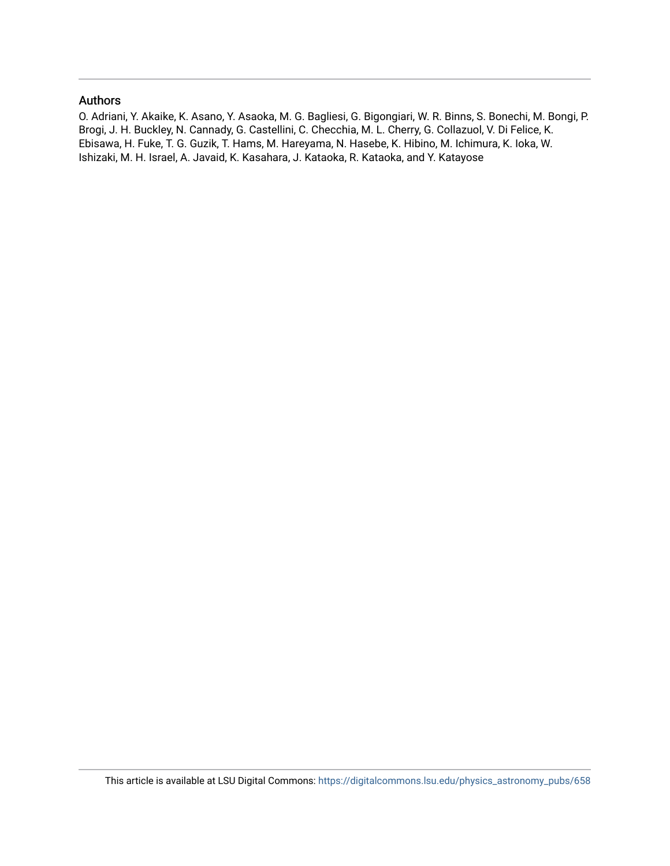## Authors

O. Adriani, Y. Akaike, K. Asano, Y. Asaoka, M. G. Bagliesi, G. Bigongiari, W. R. Binns, S. Bonechi, M. Bongi, P. Brogi, J. H. Buckley, N. Cannady, G. Castellini, C. Checchia, M. L. Cherry, G. Collazuol, V. Di Felice, K. Ebisawa, H. Fuke, T. G. Guzik, T. Hams, M. Hareyama, N. Hasebe, K. Hibino, M. Ichimura, K. Ioka, W. Ishizaki, M. H. Israel, A. Javaid, K. Kasahara, J. Kataoka, R. Kataoka, and Y. Katayose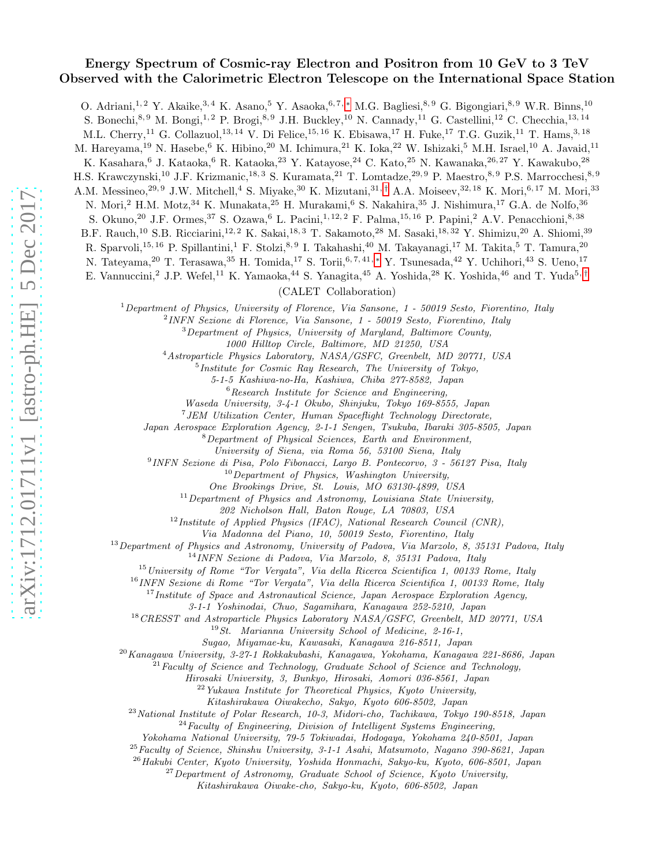## Energy Spectrum of Cosmic-ray Electron and Positron from 10 GeV to 3 TeV Observed with the Calorimetric Electron Telescope on the International Space Station

O. Adriani,<sup>1, 2</sup> Y. Akaike,<sup>3, 4</sup> K. Asano,<sup>5</sup> Y. Asaoka,<sup>6,7,\*</sup> M.G. Bagliesi,<sup>8, 9</sup> G. Bigongiari,<sup>8, 9</sup> W.R. Binns,<sup>10</sup>

S. Bonechi,<sup>8, 9</sup> M. Bongi,<sup>1, 2</sup> P. Brogi,<sup>8, 9</sup> J.H. Buckley,<sup>10</sup> N. Cannady,<sup>11</sup> G. Castellini,<sup>12</sup> C. Checchia,<sup>13, 14</sup>

M.L. Cherry,<sup>11</sup> G. Collazuol,<sup>13, 14</sup> V. Di Felice,<sup>15, 16</sup> K. Ebisawa,<sup>17</sup> H. Fuke,<sup>17</sup> T.G. Guzik,<sup>11</sup> T. Hams,<sup>3, 18</sup>

M. Hareyama,<sup>19</sup> N. Hasebe,<sup>6</sup> K. Hibino,<sup>20</sup> M. Ichimura,<sup>21</sup> K. Ioka,<sup>22</sup> W. Ishizaki,<sup>5</sup> M.H. Israel,<sup>10</sup> A. Javaid,<sup>11</sup>

K. Kasahara,<sup>6</sup> J. Kataoka,<sup>6</sup> R. Kataoka,<sup>23</sup> Y. Katayose,<sup>24</sup> C. Kato,<sup>25</sup> N. Kawanaka,<sup>26, 27</sup> Y. Kawakubo,<sup>28</sup>

H.S. Krawczynski,<sup>10</sup> J.F. Krizmanic,<sup>18, 3</sup> S. Kuramata,<sup>21</sup> T. Lomtadze,<sup>29, 9</sup> P. Maestro,<sup>8, 9</sup> P.S. Marrocchesi,<sup>8, 9</sup>

A.M. Messineo,<sup>29, 9</sup> J.W. Mitchell,<sup>4</sup> S. Miyake,<sup>30</sup> K. Mizutani,<sup>31,[†](#page-7-1)</sup> A.A. Moiseev,<sup>32, 18</sup> K. Mori,<sup>6, 17</sup> M. Mori,<sup>33</sup>

N. Mori,<sup>2</sup> H.M. Motz,<sup>34</sup> K. Munakata,<sup>25</sup> H. Murakami,<sup>6</sup> S. Nakahira,<sup>35</sup> J. Nishimura,<sup>17</sup> G.A. de Nolfo,<sup>36</sup>

S. Okuno,<sup>20</sup> J.F. Ormes,<sup>37</sup> S. Ozawa, <sup>6</sup> L. Pacini,<sup>1, 12, 2</sup> F. Palma,<sup>15, 16</sup> P. Papini,<sup>2</sup> A.V. Penacchioni,<sup>8, 38</sup>

B.F. Rauch,<sup>10</sup> S.B. Ricciarini,<sup>12, 2</sup> K. Sakai,<sup>18, 3</sup> T. Sakamoto,<sup>28</sup> M. Sasaki,<sup>18, 32</sup> Y. Shimizu,<sup>20</sup> A. Shiomi,<sup>39</sup>

R. Sparvoli,<sup>15, 16</sup> P. Spillantini,<sup>1</sup> F. Stolzi,<sup>8, 9</sup> I. Takahashi,<sup>40</sup> M. Takayanagi,<sup>17</sup> M. Takita,<sup>5</sup> T. Tamura,<sup>20</sup>

N. Tateyama,<sup>20</sup> T. Terasawa,<sup>35</sup> H. Tomida,<sup>17</sup> S. Torii,<sup>6,7,41,[∗](#page-7-0)</sup> Y. Tsunesada,<sup>42</sup> Y. Uchihori,<sup>43</sup> S. Ueno,<sup>17</sup>

E. Vannuccini,<sup>2</sup> J.P. Wefel,<sup>11</sup> K. Yamaoka,<sup>44</sup> S. Yanagita,<sup>45</sup> A. Yoshida,<sup>28</sup> K. Yoshida,<sup>46</sup> and T. Yuda<sup>5,[†](#page-7-1)</sup>

(CALET Collaboration)

 $1$  Department of Physics, University of Florence, Via Sansone, 1 - 50019 Sesto, Fiorentino, Italy

2 INFN Sezione di Florence, Via Sansone, 1 - 50019 Sesto, Fiorentino, Italy

 $3$  Department of Physics, University of Maryland, Baltimore County,

1000 Hilltop Circle, Baltimore, MD 21250, USA

<sup>4</sup>Astroparticle Physics Laboratory, NASA/GSFC, Greenbelt, MD 20771, USA

5 Institute for Cosmic Ray Research, The University of Tokyo,

5-1-5 Kashiwa-no-Ha, Kashiwa, Chiba 277-8582, Japan

 $6$ Research Institute for Science and Engineering,

Waseda University, 3-4-1 Okubo, Shinjuku, Tokyo 169-8555, Japan

7 JEM Utilization Center, Human Spaceflight Technology Directorate,

Japan Aerospace Exploration Agency, 2-1-1 Sengen, Tsukuba, Ibaraki 305-8505, Japan

<sup>8</sup>Department of Physical Sciences, Earth and Environment,

University of Siena, via Roma 56, 53100 Siena, Italy

9 INFN Sezione di Pisa, Polo Fibonacci, Largo B. Pontecorvo, 3 - 56127 Pisa, Italy

 $10$  Department of Physics, Washington University,

One Brookings Drive, St. Louis, MO 63130-4899, USA

 $11$ Department of Physics and Astronomy, Louisiana State University,

202 Nicholson Hall, Baton Rouge, LA 70803, USA

 $12$ Institute of Applied Physics (IFAC), National Research Council (CNR),

Via Madonna del Piano, 10, 50019 Sesto, Fiorentino, Italy

<sup>13</sup> Department of Physics and Astronomy, University of Padova, Via Marzolo, 8, 35131 Padova, Italy

<sup>14</sup>INFN Sezione di Padova, Via Marzolo, 8, 35131 Padova, Italy

<sup>15</sup>University of Rome "Tor Vergata", Via della Ricerca Scientifica 1, 00133 Rome, Italy

<sup>16</sup>INFN Sezione di Rome "Tor Vergata", Via della Ricerca Scientifica 1, 00133 Rome, Italy

 $17$ Institute of Space and Astronautical Science, Japan Aerospace Exploration Agency,

3-1-1 Yoshinodai, Chuo, Sagamihara, Kanagawa 252-5210, Japan

<sup>18</sup> CRESST and Astroparticle Physics Laboratory NASA/GSFC, Greenbelt, MD 20771, USA

 $19 St.$  Marianna University School of Medicine, 2-16-1,

Sugao, Miyamae-ku, Kawasaki, Kanagawa 216-8511, Japan

 $^{20}$ Kanagawa University, 3-27-1 Rokkakubashi, Kanagawa, Yokohama, Kanagawa 221-8686, Japan

 $^{21}$  Faculty of Science and Technology, Graduate School of Science and Technology,

Hirosaki University, 3, Bunkyo, Hirosaki, Aomori 036-8561, Japan

 $22$  Yukawa Institute for Theoretical Physics, Kyoto University,

Kitashirakawa Oiwakecho, Sakyo, Kyoto 606-8502, Japan

<sup>23</sup>National Institute of Polar Research, 10-3, Midori-cho, Tachikawa, Tokyo 190-8518, Japan

 $24$  Faculty of Engineering, Division of Intelligent Systems Engineering,

Yokohama National University, 79-5 Tokiwadai, Hodogaya, Yokohama 240-8501, Japan

<sup>25</sup>Faculty of Science, Shinshu University, 3-1-1 Asahi, Matsumoto, Nagano 390-8621, Japan

<sup>26</sup> Hakubi Center, Kyoto University, Yoshida Honmachi, Sakyo-ku, Kyoto, 606-8501, Japan

<sup>27</sup>Department of Astronomy, Graduate School of Science, Kyoto University,

Kitashirakawa Oiwake-cho, Sakyo-ku, Kyoto, 606-8502, Japan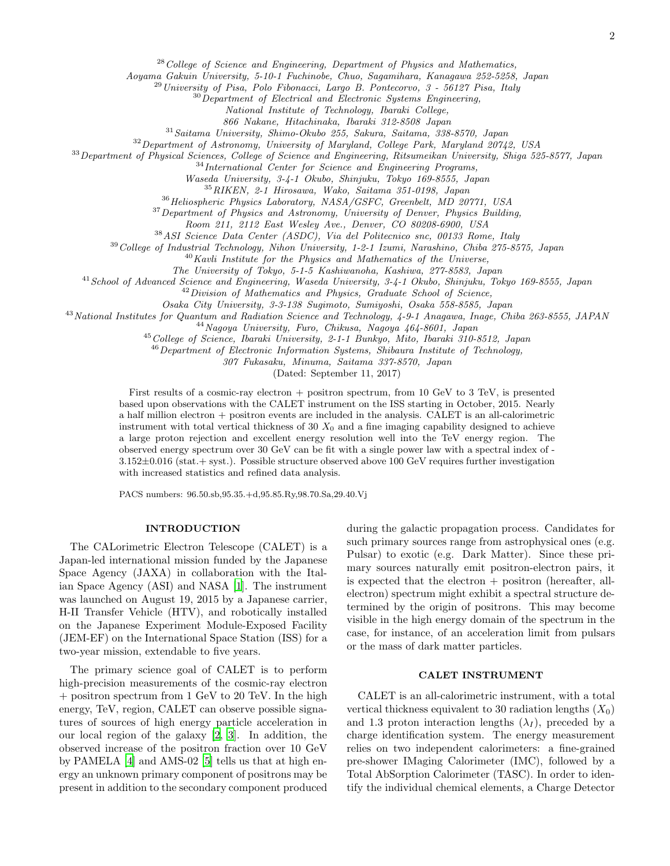$28$  College of Science and Engineering, Department of Physics and Mathematics,

Aoyama Gakuin University, 5-10-1 Fuchinobe, Chuo, Sagamihara, Kanagawa 252-5258, Japan

 $^{29}$ University of Pisa, Polo Fibonacci, Largo B. Pontecorvo, 3 - 56127 Pisa, Italy

 $30$  Department of Electrical and Electronic Systems Engineering,

National Institute of Technology, Ibaraki College,

866 Nakane, Hitachinaka, Ibaraki 312-8508 Japan

<sup>31</sup>Saitama University, Shimo-Okubo 255, Sakura, Saitama, 338-8570, Japan

<sup>32</sup> Department of Astronomy, University of Maryland, College Park, Maryland 20742, USA

<sup>33</sup>Department of Physical Sciences, College of Science and Engineering, Ritsumeikan University, Shiga 525-8577, Japan

<sup>34</sup>International Center for Science and Engineering Programs,

Waseda University, 3-4-1 Okubo, Shinjuku, Tokyo 169-8555, Japan

<sup>35</sup>RIKEN, 2-1 Hirosawa, Wako, Saitama 351-0198, Japan

<sup>36</sup> Heliospheric Physics Laboratory, NASA/GSFC, Greenbelt, MD 20771, USA

<sup>37</sup> Department of Physics and Astronomy, University of Denver, Physics Building,

Room 211, 2112 East Wesley Ave., Denver, CO 80208-6900, USA

<sup>38</sup>ASI Science Data Center (ASDC), Via del Politecnico snc, 00133 Rome, Italy

<sup>39</sup>College of Industrial Technology, Nihon University, 1-2-1 Izumi, Narashino, Chiba 275-8575, Japan

 $^{40}$ Kavli Institute for the Physics and Mathematics of the Universe,

The University of Tokyo, 5-1-5 Kashiwanoha, Kashiwa, 277-8583, Japan

<sup>41</sup> School of Advanced Science and Engineering, Waseda University, 3-4-1 Okubo, Shinjuku, Tokyo 169-8555, Japan

 $42$  Division of Mathematics and Physics, Graduate School of Science,

Osaka City University, 3-3-138 Sugimoto, Sumiyoshi, Osaka 558-8585, Japan

<sup>43</sup> National Institutes for Quantum and Radiation Science and Technology, 4-9-1 Anagawa, Inage, Chiba 263-8555, JAPAN

<sup>44</sup>Nagoya University, Furo, Chikusa, Nagoya 464-8601, Japan

<sup>45</sup> College of Science, Ibaraki University, 2-1-1 Bunkyo, Mito, Ibaraki 310-8512, Japan

<sup>46</sup> Department of Electronic Information Systems, Shibaura Institute of Technology,

307 Fukasaku, Minuma, Saitama 337-8570, Japan

(Dated: September 11, 2017)

First results of a cosmic-ray electron + positron spectrum, from 10 GeV to 3 TeV, is presented based upon observations with the CALET instrument on the ISS starting in October, 2015. Nearly a half million electron + positron events are included in the analysis. CALET is an all-calorimetric instrument with total vertical thickness of 30  $X_0$  and a fine imaging capability designed to achieve a large proton rejection and excellent energy resolution well into the TeV energy region. The observed energy spectrum over 30 GeV can be fit with a single power law with a spectral index of - 3.152±0.016 (stat.+ syst.). Possible structure observed above 100 GeV requires further investigation with increased statistics and refined data analysis.

PACS numbers: 96.50.sb,95.35.+d,95.85.Ry,98.70.Sa,29.40.Vj

### INTRODUCTION

The CALorimetric Electron Telescope (CALET) is a Japan-led international mission funded by the Japanese Space Agency (JAXA) in collaboration with the Italian Space Agency (ASI) and NASA [\[1\]](#page-7-2). The instrument was launched on August 19, 2015 by a Japanese carrier, H-II Transfer Vehicle (HTV), and robotically installed on the Japanese Experiment Module-Exposed Facility (JEM-EF) on the International Space Station (ISS) for a two-year mission, extendable to five years.

The primary science goal of CALET is to perform high-precision measurements of the cosmic-ray electron + positron spectrum from 1 GeV to 20 TeV. In the high energy, TeV, region, CALET can observe possible signatures of sources of high energy particle acceleration in our local region of the galaxy [\[2](#page-7-3), [3\]](#page-7-4). In addition, the observed increase of the positron fraction over 10 GeV by PAMELA [\[4](#page-7-5)] and AMS-02 [\[5](#page-7-6)] tells us that at high energy an unknown primary component of positrons may be present in addition to the secondary component produced

during the galactic propagation process. Candidates for such primary sources range from astrophysical ones (e.g. Pulsar) to exotic (e.g. Dark Matter). Since these primary sources naturally emit positron-electron pairs, it is expected that the electron  $+$  positron (hereafter, allelectron) spectrum might exhibit a spectral structure determined by the origin of positrons. This may become visible in the high energy domain of the spectrum in the case, for instance, of an acceleration limit from pulsars or the mass of dark matter particles.

#### CALET INSTRUMENT

CALET is an all-calorimetric instrument, with a total vertical thickness equivalent to 30 radiation lengths  $(X_0)$ and 1.3 proton interaction lengths  $(\lambda_I)$ , preceded by a charge identification system. The energy measurement relies on two independent calorimeters: a fine-grained pre-shower IMaging Calorimeter (IMC), followed by a Total AbSorption Calorimeter (TASC). In order to identify the individual chemical elements, a Charge Detector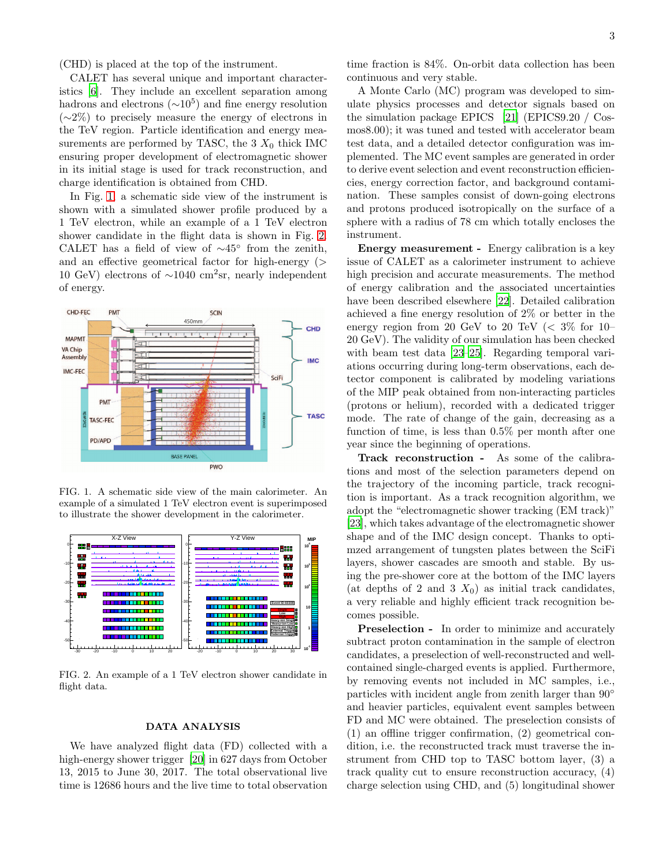(CHD) is placed at the top of the instrument.

CALET has several unique and important characteristics [\[6\]](#page-7-7). They include an excellent separation among hadrons and electrons  $({\sim}10^5)$  and fine energy resolution (∼2%) to precisely measure the energy of electrons in the TeV region. Particle identification and energy measurements are performed by TASC, the  $3 X_0$  thick IMC ensuring proper development of electromagnetic shower in its initial stage is used for track reconstruction, and charge identification is obtained from CHD.

In Fig. [1,](#page-4-0) a schematic side view of the instrument is shown with a simulated shower profile produced by a 1 TeV electron, while an example of a 1 TeV electron shower candidate in the flight data is shown in Fig. [2.](#page-4-1) CALET has a field of view of ∼45◦ from the zenith, and an effective geometrical factor for high-energy (> 10 GeV) electrons of ∼1040 cm<sup>2</sup> sr, nearly independent of energy.



<span id="page-4-0"></span>FIG. 1. A schematic side view of the main calorimeter. An example of a simulated 1 TeV electron event is superimposed to illustrate the shower development in the calorimeter.



<span id="page-4-1"></span>FIG. 2. An example of a 1 TeV electron shower candidate in flight data.

#### DATA ANALYSIS

We have analyzed flight data (FD) collected with a high-energy shower trigger [\[20\]](#page-7-8) in 627 days from October 13, 2015 to June 30, 2017. The total observational live time is 12686 hours and the live time to total observation time fraction is 84%. On-orbit data collection has been continuous and very stable.

A Monte Carlo (MC) program was developed to simulate physics processes and detector signals based on the simulation package EPICS [\[21\]](#page-7-9) (EPICS9.20 / Cosmos8.00); it was tuned and tested with accelerator beam test data, and a detailed detector configuration was implemented. The MC event samples are generated in order to derive event selection and event reconstruction efficiencies, energy correction factor, and background contamination. These samples consist of down-going electrons and protons produced isotropically on the surface of a sphere with a radius of 78 cm which totally encloses the instrument.

Energy measurement - Energy calibration is a key issue of CALET as a calorimeter instrument to achieve high precision and accurate measurements. The method of energy calibration and the associated uncertainties have been described elsewhere [\[22](#page-7-10)]. Detailed calibration achieved a fine energy resolution of 2% or better in the energy region from 20 GeV to 20 TeV  $\langle \, 3\% \,$  for 10– 20 GeV). The validity of our simulation has been checked with beam test data [\[23](#page-7-11)[–25\]](#page-7-12). Regarding temporal variations occurring during long-term observations, each detector component is calibrated by modeling variations of the MIP peak obtained from non-interacting particles (protons or helium), recorded with a dedicated trigger mode. The rate of change of the gain, decreasing as a function of time, is less than 0.5% per month after one year since the beginning of operations.

Track reconstruction - As some of the calibrations and most of the selection parameters depend on the trajectory of the incoming particle, track recognition is important. As a track recognition algorithm, we adopt the "electromagnetic shower tracking (EM track)" [\[23\]](#page-7-11), which takes advantage of the electromagnetic shower shape and of the IMC design concept. Thanks to optimzed arrangement of tungsten plates between the SciFi layers, shower cascades are smooth and stable. By using the pre-shower core at the bottom of the IMC layers (at depths of 2 and 3  $X_0$ ) as initial track candidates, a very reliable and highly efficient track recognition becomes possible.

**Preselection -** In order to minimize and accurately subtract proton contamination in the sample of electron candidates, a preselection of well-reconstructed and wellcontained single-charged events is applied. Furthermore, by removing events not included in MC samples, i.e., particles with incident angle from zenith larger than 90° and heavier particles, equivalent event samples between FD and MC were obtained. The preselection consists of (1) an offline trigger confirmation, (2) geometrical condition, i.e. the reconstructed track must traverse the instrument from CHD top to TASC bottom layer, (3) a track quality cut to ensure reconstruction accuracy, (4) charge selection using CHD, and (5) longitudinal shower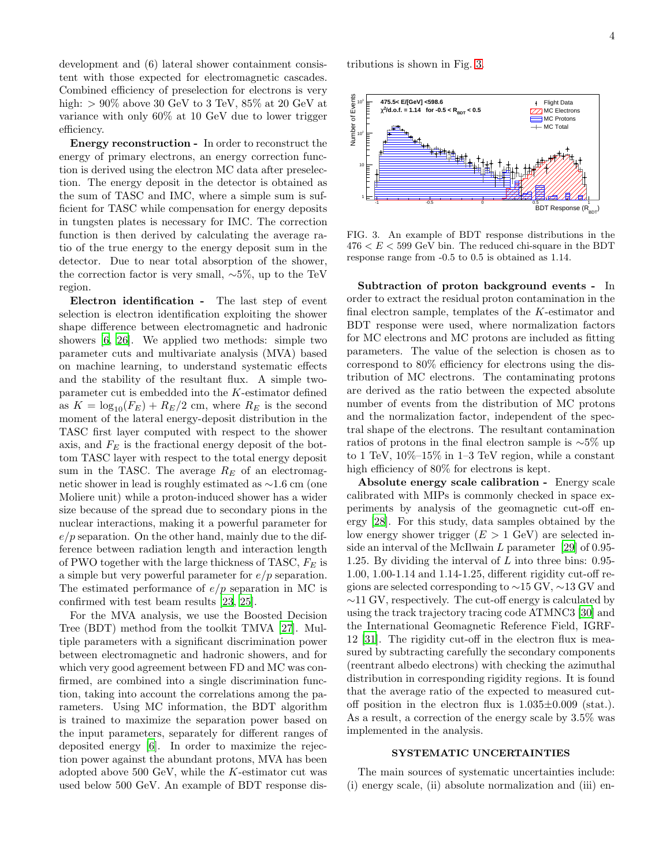development and (6) lateral shower containment consistent with those expected for electromagnetic cascades. Combined efficiency of preselection for electrons is very high:  $> 90\%$  above 30 GeV to 3 TeV, 85% at 20 GeV at variance with only 60% at 10 GeV due to lower trigger efficiency.

Energy reconstruction - In order to reconstruct the energy of primary electrons, an energy correction function is derived using the electron MC data after preselection. The energy deposit in the detector is obtained as the sum of TASC and IMC, where a simple sum is sufficient for TASC while compensation for energy deposits in tungsten plates is necessary for IMC. The correction function is then derived by calculating the average ratio of the true energy to the energy deposit sum in the detector. Due to near total absorption of the shower, the correction factor is very small, ∼5%, up to the TeV region.

Electron identification - The last step of event selection is electron identification exploiting the shower shape difference between electromagnetic and hadronic showers [\[6,](#page-7-7) [26\]](#page-7-13). We applied two methods: simple two parameter cuts and multivariate analysis (MVA) based on machine learning, to understand systematic effects and the stability of the resultant flux. A simple twoparameter cut is embedded into the K-estimator defined as  $K = \log_{10}(F_E) + R_E/2$  cm, where  $R_E$  is the second moment of the lateral energy-deposit distribution in the TASC first layer computed with respect to the shower axis, and  $F_E$  is the fractional energy deposit of the bottom TASC layer with respect to the total energy deposit sum in the TASC. The average  $R_E$  of an electromagnetic shower in lead is roughly estimated as ∼1.6 cm (one Moliere unit) while a proton-induced shower has a wider size because of the spread due to secondary pions in the nuclear interactions, making it a powerful parameter for  $e/p$  separation. On the other hand, mainly due to the difference between radiation length and interaction length of PWO together with the large thickness of TASC,  $F_E$  is a simple but very powerful parameter for  $e/p$  separation. The estimated performance of  $e/p$  separation in MC is confirmed with test beam results [\[23](#page-7-11), [25\]](#page-7-12).

For the MVA analysis, we use the Boosted Decision Tree (BDT) method from the toolkit TMVA [\[27](#page-7-14)]. Multiple parameters with a significant discrimination power between electromagnetic and hadronic showers, and for which very good agreement between FD and MC was confirmed, are combined into a single discrimination function, taking into account the correlations among the parameters. Using MC information, the BDT algorithm is trained to maximize the separation power based on the input parameters, separately for different ranges of deposited energy [\[6](#page-7-7)]. In order to maximize the rejection power against the abundant protons, MVA has been adopted above 500 GeV, while the K-estimator cut was used below 500 GeV. An example of BDT response distributions is shown in Fig. [3.](#page-5-0)



<span id="page-5-0"></span>FIG. 3. An example of BDT response distributions in the  $476 < E < 599$  GeV bin. The reduced chi-square in the BDT response range from -0.5 to 0.5 is obtained as 1.14.

Subtraction of proton background events - In order to extract the residual proton contamination in the final electron sample, templates of the K-estimator and BDT response were used, where normalization factors for MC electrons and MC protons are included as fitting parameters. The value of the selection is chosen as to correspond to 80% efficiency for electrons using the distribution of MC electrons. The contaminating protons are derived as the ratio between the expected absolute number of events from the distribution of MC protons and the normalization factor, independent of the spectral shape of the electrons. The resultant contamination ratios of protons in the final electron sample is ∼5% up to 1 TeV,  $10\%$ -15% in 1-3 TeV region, while a constant high efficiency of 80% for electrons is kept.

Absolute energy scale calibration - Energy scale calibrated with MIPs is commonly checked in space experiments by analysis of the geomagnetic cut-off energy [\[28](#page-7-15)]. For this study, data samples obtained by the low energy shower trigger  $(E > 1 \text{ GeV})$  are selected inside an interval of the McIlwain  $L$  parameter [\[29](#page-7-16)] of 0.95-1.25. By dividing the interval of L into three bins: 0.95- 1.00, 1.00-1.14 and 1.14-1.25, different rigidity cut-off regions are selected corresponding to ∼15 GV, ∼13 GV and ∼11 GV, respectively. The cut-off energy is calculated by using the track trajectory tracing code ATMNC3 [\[30\]](#page-7-17) and the International Geomagnetic Reference Field, IGRF-12 [\[31\]](#page-7-18). The rigidity cut-off in the electron flux is measured by subtracting carefully the secondary components (reentrant albedo electrons) with checking the azimuthal distribution in corresponding rigidity regions. It is found that the average ratio of the expected to measured cutoff position in the electron flux is  $1.035\pm0.009$  (stat.). As a result, a correction of the energy scale by 3.5% was implemented in the analysis.

#### SYSTEMATIC UNCERTAINTIES

The main sources of systematic uncertainties include: (i) energy scale, (ii) absolute normalization and (iii) en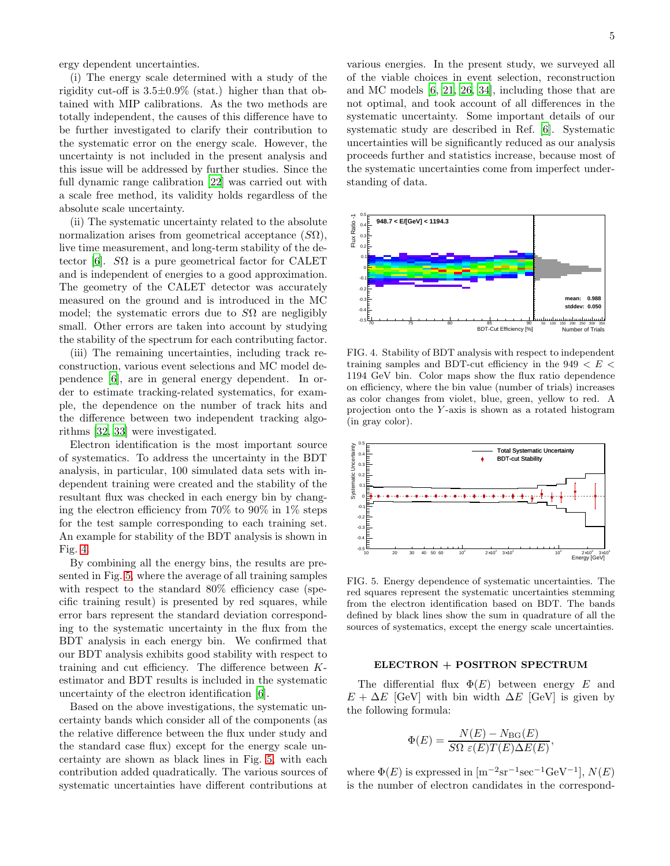ergy dependent uncertainties.

(i) The energy scale determined with a study of the rigidity cut-off is  $3.5\pm0.9\%$  (stat.) higher than that obtained with MIP calibrations. As the two methods are totally independent, the causes of this difference have to be further investigated to clarify their contribution to the systematic error on the energy scale. However, the uncertainty is not included in the present analysis and this issue will be addressed by further studies. Since the full dynamic range calibration [\[22](#page-7-10)] was carried out with a scale free method, its validity holds regardless of the absolute scale uncertainty.

(ii) The systematic uncertainty related to the absolute normalization arises from geometrical acceptance  $(S\Omega)$ , live time measurement, and long-term stability of the de-tector [\[6](#page-7-7)].  $S\Omega$  is a pure geometrical factor for CALET and is independent of energies to a good approximation. The geometry of the CALET detector was accurately measured on the ground and is introduced in the MC model; the systematic errors due to  $S\Omega$  are negligibly small. Other errors are taken into account by studying the stability of the spectrum for each contributing factor.

(iii) The remaining uncertainties, including track reconstruction, various event selections and MC model dependence [\[6\]](#page-7-7), are in general energy dependent. In order to estimate tracking-related systematics, for example, the dependence on the number of track hits and the difference between two independent tracking algorithms [\[32,](#page-7-19) [33](#page-7-20)] were investigated.

Electron identification is the most important source of systematics. To address the uncertainty in the BDT analysis, in particular, 100 simulated data sets with independent training were created and the stability of the resultant flux was checked in each energy bin by changing the electron efficiency from 70% to 90% in 1% steps for the test sample corresponding to each training set. An example for stability of the BDT analysis is shown in Fig. [4.](#page-6-0)

By combining all the energy bins, the results are presented in Fig. [5,](#page-6-1) where the average of all training samples with respect to the standard  $80\%$  efficiency case (specific training result) is presented by red squares, while error bars represent the standard deviation corresponding to the systematic uncertainty in the flux from the BDT analysis in each energy bin. We confirmed that our BDT analysis exhibits good stability with respect to training and cut efficiency. The difference between Kestimator and BDT results is included in the systematic uncertainty of the electron identification [\[6\]](#page-7-7).

Based on the above investigations, the systematic uncertainty bands which consider all of the components (as the relative difference between the flux under study and the standard case flux) except for the energy scale uncertainty are shown as black lines in Fig. [5,](#page-6-1) with each contribution added quadratically. The various sources of systematic uncertainties have different contributions at

various energies. In the present study, we surveyed all of the viable choices in event selection, reconstruction and MC models [\[6](#page-7-7), [21,](#page-7-9) [26](#page-7-13), [34\]](#page-7-21), including those that are not optimal, and took account of all differences in the systematic uncertainty. Some important details of our systematic study are described in Ref. [\[6](#page-7-7)]. Systematic uncertainties will be significantly reduced as our analysis proceeds further and statistics increase, because most of the systematic uncertainties come from imperfect understanding of data.



<span id="page-6-0"></span>FIG. 4. Stability of BDT analysis with respect to independent training samples and BDT-cut efficiency in the  $949 < E <$ 1194 GeV bin. Color maps show the flux ratio dependence on efficiency, where the bin value (number of trials) increases as color changes from violet, blue, green, yellow to red. A projection onto the Y -axis is shown as a rotated histogram (in gray color).



<span id="page-6-1"></span>FIG. 5. Energy dependence of systematic uncertainties. The red squares represent the systematic uncertainties stemming from the electron identification based on BDT. The bands defined by black lines show the sum in quadrature of all the sources of systematics, except the energy scale uncertainties.

#### ELECTRON + POSITRON SPECTRUM

The differential flux  $\Phi(E)$  between energy E and  $E + \Delta E$  [GeV] with bin width  $\Delta E$  [GeV] is given by the following formula:

$$
\Phi(E) = \frac{N(E) - N_{\text{BG}}(E)}{S\Omega \varepsilon(E)T(E)\Delta E(E)}
$$

,

where  $\Phi(E)$  is expressed in  $[m^{-2}sr^{-1}sec^{-1}GeV^{-1}], N(E)$ is the number of electron candidates in the correspond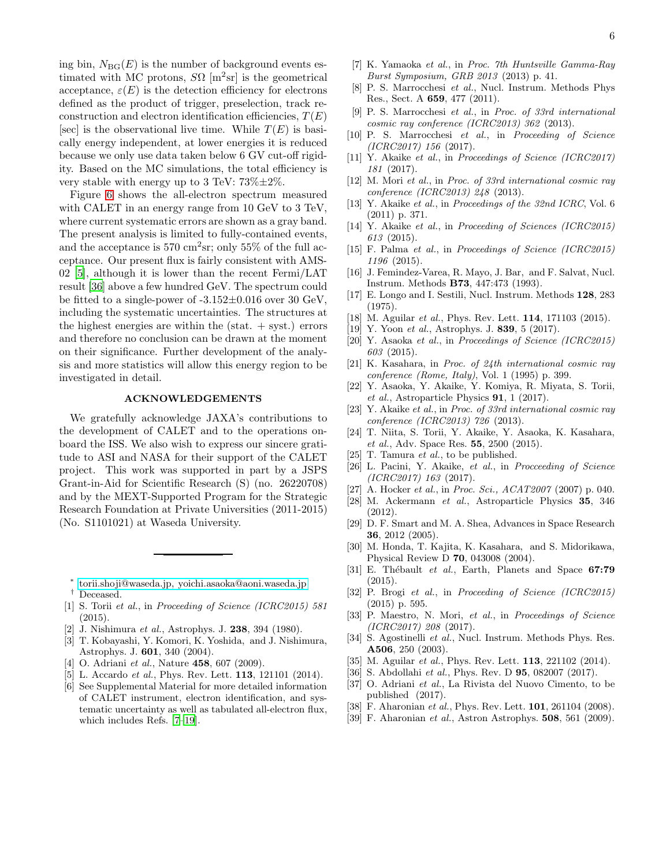ing bin,  $N_{\text{BG}}(E)$  is the number of background events estimated with MC protons,  $S\Omega$  [m<sup>2</sup>sr] is the geometrical acceptance,  $\varepsilon(E)$  is the detection efficiency for electrons defined as the product of trigger, preselection, track reconstruction and electron identification efficiencies,  $T(E)$ [sec] is the observational live time. While  $T(E)$  is basically energy independent, at lower energies it is reduced because we only use data taken below 6 GV cut-off rigidity. Based on the MC simulations, the total efficiency is very stable with energy up to 3 TeV:  $73\% \pm 2\%$ .

Figure [6](#page-8-0) shows the all-electron spectrum measured with CALET in an energy range from 10 GeV to 3 TeV, where current systematic errors are shown as a gray band. The present analysis is limited to fully-contained events, and the acceptance is  $570 \text{ cm}^2\text{sr}$ ; only  $55\%$  of the full acceptance. Our present flux is fairly consistent with AMS-02 [\[5\]](#page-7-6), although it is lower than the recent Fermi/LAT result [\[36\]](#page-7-22) above a few hundred GeV. The spectrum could be fitted to a single-power of -3.152±0.016 over 30 GeV, including the systematic uncertainties. The structures at the highest energies are within the  $(s_{\text{t}}+s_{\text{t}})$  errors and therefore no conclusion can be drawn at the moment on their significance. Further development of the analysis and more statistics will allow this energy region to be investigated in detail.

#### ACKNOWLEDGEMENTS

We gratefully acknowledge JAXA's contributions to the development of CALET and to the operations onboard the ISS. We also wish to express our sincere gratitude to ASI and NASA for their support of the CALET project. This work was supported in part by a JSPS Grant-in-Aid for Scientific Research (S) (no. 26220708) and by the MEXT-Supported Program for the Strategic Research Foundation at Private Universities (2011-2015) (No. S1101021) at Waseda University.

- <span id="page-7-2"></span><span id="page-7-1"></span>[1] S. Torii et al., in Proceeding of Science (ICRC2015) 581  $(2015)$ .
- <span id="page-7-3"></span>[2] J. Nishimura et al., Astrophys. J. 238, 394 (1980).
- <span id="page-7-4"></span>[3] T. Kobayashi, Y. Komori, K. Yoshida, and J. Nishimura, Astrophys. J. 601, 340 (2004).
- <span id="page-7-5"></span>[4] O. Adriani *et al.*, Nature **458**, 607 (2009).
- <span id="page-7-6"></span>[5] L. Accardo *et al.*, Phys. Rev. Lett. **113**, 121101 (2014).
- <span id="page-7-7"></span>[6] See Supplemental Material for more detailed information of CALET instrument, electron identification, and systematic uncertainty as well as tabulated all-electron flux, which includes Refs. [\[7](#page-7-23)[–19](#page-7-24)].
- <span id="page-7-23"></span>[7] K. Yamaoka et al., in Proc. 7th Huntsville Gamma-Ray Burst Symposium, GRB 2013 (2013) p. 41.
- [8] P. S. Marrocchesi et al., Nucl. Instrum. Methods Phys Res., Sect. A 659, 477 (2011).
- [9] P. S. Marrocchesi et al., in Proc. of 33rd international cosmic ray conference (ICRC2013) 362 (2013).
- [10] P. S. Marrocchesi et al., in Proceeding of Science (ICRC2017) 156 (2017).
- [11] Y. Akaike et al., in Proceedings of Science (ICRC2017) 181 (2017).
- [12] M. Mori et al., in Proc. of 33rd international cosmic ray conference (ICRC2013) 248 (2013).
- [13] Y. Akaike et al., in Proceedings of the 32nd ICRC, Vol. 6 (2011) p. 371.
- [14] Y. Akaike et al., in Proceeding of Sciences (ICRC2015) 613 (2015).
- [15] F. Palma et al., in Proceedings of Science (ICRC2015) 1196 (2015).
- [16] J. Femindez-Varea, R. Mayo, J. Bar, and F. Salvat, Nucl. Instrum. Methods B73, 447:473 (1993).
- [17] E. Longo and I. Sestili, Nucl. Instrum. Methods 128, 283 (1975).
- [18] M. Aguilar et al., Phys. Rev. Lett. **114**, 171103 (2015).
- <span id="page-7-24"></span>[19] Y. Yoon et al., Astrophys. J. 839, 5 (2017).
- <span id="page-7-8"></span>[20] Y. Asaoka et al., in Proceedings of Science (ICRC2015) 603 (2015).
- <span id="page-7-9"></span>[21] K. Kasahara, in Proc. of 24th international cosmic ray conference (Rome, Italy), Vol. 1 (1995) p. 399.
- <span id="page-7-10"></span>[22] Y. Asaoka, Y. Akaike, Y. Komiya, R. Miyata, S. Torii, et al., Astroparticle Physics  $91, 1$  (2017).
- <span id="page-7-11"></span>[23] Y. Akaike et al., in Proc. of 33rd international cosmic ray conference (ICRC2013) 726 (2013).
- [24] T. Niita, S. Torii, Y. Akaike, Y. Asaoka, K. Kasahara, et al., Adv. Space Res. 55, 2500 (2015).
- <span id="page-7-12"></span>[25] T. Tamura et al., to be published.
- <span id="page-7-13"></span>[26] L. Pacini, Y. Akaike, et al., in Procceeding of Science (ICRC2017) 163 (2017).
- <span id="page-7-14"></span>[27] A. Hocker *et al.*, in *Proc. Sci., ACAT2007* (2007) p. 040.
- <span id="page-7-15"></span>[28] M. Ackermann et al., Astroparticle Physics 35, 346 (2012).
- <span id="page-7-16"></span>[29] D. F. Smart and M. A. Shea, Advances in Space Research 36, 2012 (2005).
- <span id="page-7-17"></span>[30] M. Honda, T. Kajita, K. Kasahara, and S. Midorikawa, Physical Review D 70, 043008 (2004).
- <span id="page-7-18"></span>[31] E. Thébault et al., Earth, Planets and Space  $67:79$  $(2015)$
- <span id="page-7-19"></span>[32] P. Brogi et al., in Proceeding of Science (ICRC2015) (2015) p. 595.
- <span id="page-7-20"></span>[33] P. Maestro, N. Mori, et al., in Proceedings of Science (ICRC2017) 208 (2017).
- <span id="page-7-21"></span>[34] S. Agostinelli et al., Nucl. Instrum. Methods Phys. Res. A506, 250 (2003).
- <span id="page-7-25"></span>[35] M. Aguilar et al., Phys. Rev. Lett. **113**, 221102 (2014).
- <span id="page-7-22"></span>[36] S. Abdollahi et al., Phys. Rev. D **95**, 082007 (2017).
- <span id="page-7-26"></span>[37] O. Adriani et al., La Rivista del Nuovo Cimento, to be published (2017).
- <span id="page-7-27"></span>[38] F. Aharonian et al., Phys. Rev. Lett. **101**, 261104 (2008).
- <span id="page-7-28"></span>[39] F. Aharonian *et al.*, Astron Astrophys. **508**, 561 (2009).

<span id="page-7-0"></span><sup>∗</sup> [torii.shoji@waseda.jp, yoichi.asaoka@aoni.waseda.jp](mailto:torii.shoji@waseda.jp, yoichi.asaoka@aoni.waseda.jp) Deceased.